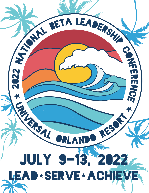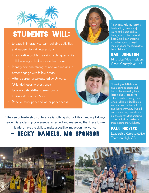

### Students will:

- Engage in interactive, team-building activities and leadership training sessions.
- Use creative problem solving techniques while collaborating with like-minded individuals.
- Identify personal strengths and weaknesses to better engage with fellow Betas.
- Attend career breakouts led by Universal Orlando Resort professionals.
- Go on a behind-the-scenes tour of Universal Orlando Resort.
- Receive multi-park and water park access.

"The senior leadership conference is nothing short of life changing. I always leave this leadership conference refreshed and reassured that these future leaders have the skills to make a positive impact on the world."

### BECKY DANIELS, MO SPONSOR

"I can genuinely say that the leadership [conference] is one of the best perks of being apart of the National Beta Club. It's an amazing experience, and you gain memories and friendships that last a lifetime!!"

#### Dari Johnson

Mississippi Vice President Green County High, MS

"Traveling with Beta was an amazing experience. I had such an amazing time learning how I can serve other. I made so many friends who are like minded like me and who lead in their school and their community. I would recommend anyone who can go, should have this amazing opportunity to experience this amazing trip with Beta."

Paul Nickles Leadership Representative Thomson High, GA